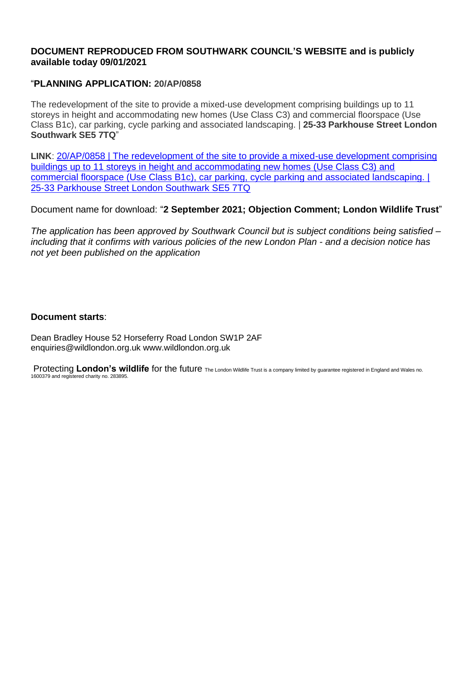# **DOCUMENT REPRODUCED FROM SOUTHWARK COUNCIL'S WEBSITE and is publicly available today 09/01/2021**

# "**PLANNING APPLICATION: 20/AP/0858**

The redevelopment of the site to provide a mixed-use development comprising buildings up to 11 storeys in height and accommodating new homes (Use Class C3) and commercial floorspace (Use Class B1c), car parking, cycle parking and associated landscaping. | **25-33 Parkhouse Street London Southwark SE5 7TQ**"

**LINK**: [20/AP/0858 | The redevelopment of the site to provide a mixed-use development comprising](https://planning.southwark.gov.uk/online-applications/applicationDetails.do?activeTab=documents&keyVal=Q7FOVEKB05A00)  [buildings up to 11 storeys in height and accommodating new homes \(Use Class C3\) and](https://planning.southwark.gov.uk/online-applications/applicationDetails.do?activeTab=documents&keyVal=Q7FOVEKB05A00)  [commercial floorspace \(Use Class B1c\), car parking, cycle parking and associated landscaping. |](https://planning.southwark.gov.uk/online-applications/applicationDetails.do?activeTab=documents&keyVal=Q7FOVEKB05A00)  [25-33 Parkhouse Street London Southwark SE5 7TQ](https://planning.southwark.gov.uk/online-applications/applicationDetails.do?activeTab=documents&keyVal=Q7FOVEKB05A00)

Document name for download: "**2 September 2021; Objection Comment; London Wildlife Trust**"

*The application has been approved by Southwark Council but is subject conditions being satisfied – including that it confirms with various policies of the new London Plan - and a decision notice has not yet been published on the application*

# **Document starts**:

Dean Bradley House 52 Horseferry Road London SW1P 2AF enquiries@wildlondon.org.uk www.wildlondon.org.uk

Protecting London's wildlife for the future The London Wildlife Trust is a company limited by guarantee registered in England and Wales no. 1600379 and registered charity no. 283895.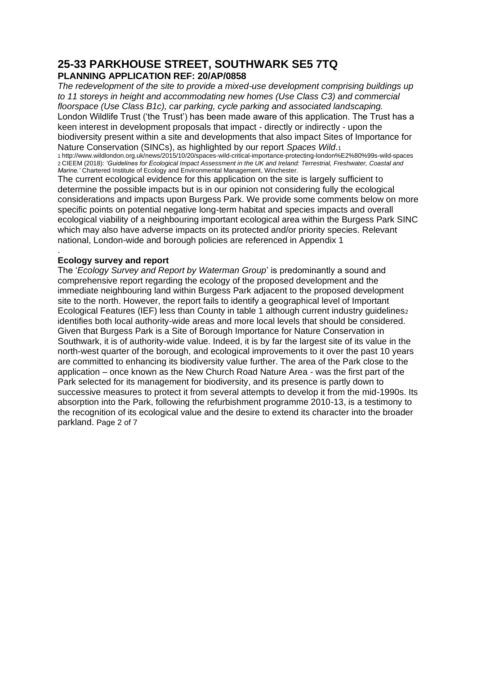# **25-33 PARKHOUSE STREET, SOUTHWARK SE5 7TQ PLANNING APPLICATION REF: 20/AP/0858**

*The redevelopment of the site to provide a mixed-use development comprising buildings up to 11 storeys in height and accommodating new homes (Use Class C3) and commercial floorspace (Use Class B1c), car parking, cycle parking and associated landscaping.*  London Wildlife Trust ('the Trust') has been made aware of this application. The Trust has a keen interest in development proposals that impact - directly or indirectly - upon the biodiversity present within a site and developments that also impact Sites of Importance for Nature Conservation (SINCs), as highlighted by our report *Spaces Wild*.<sup>1</sup>

1 http://www.wildlondon.org.uk/news/2015/10/20/spaces-wild-critical-importance-protecting-london%E2%80%99s-wild-spaces 2 CIEEM (2018): *'Guidelines for Ecological Impact Assessment in the UK and Ireland: Terrestrial, Freshwater, Coastal and Marine.'* Chartered Institute of Ecology and Environmental Management, Winchester.

The current ecological evidence for this application on the site is largely sufficient to determine the possible impacts but is in our opinion not considering fully the ecological considerations and impacts upon Burgess Park. We provide some comments below on more specific points on potential negative long-term habitat and species impacts and overall ecological viability of a neighbouring important ecological area within the Burgess Park SINC which may also have adverse impacts on its protected and/or priority species. Relevant national, London-wide and borough policies are referenced in Appendix 1

#### . **Ecology survey and report**

The '*Ecology Survey and Report by Waterman Group*' is predominantly a sound and comprehensive report regarding the ecology of the proposed development and the immediate neighbouring land within Burgess Park adjacent to the proposed development site to the north. However, the report fails to identify a geographical level of Important Ecological Features (IEF) less than County in table 1 although current industry guidelines2 identifies both local authority-wide areas and more local levels that should be considered. Given that Burgess Park is a Site of Borough Importance for Nature Conservation in Southwark, it is of authority-wide value. Indeed, it is by far the largest site of its value in the north-west quarter of the borough, and ecological improvements to it over the past 10 years are committed to enhancing its biodiversity value further. The area of the Park close to the application – once known as the New Church Road Nature Area - was the first part of the Park selected for its management for biodiversity, and its presence is partly down to successive measures to protect it from several attempts to develop it from the mid-1990s. Its absorption into the Park, following the refurbishment programme 2010-13, is a testimony to the recognition of its ecological value and the desire to extend its character into the broader parkland. Page 2 of 7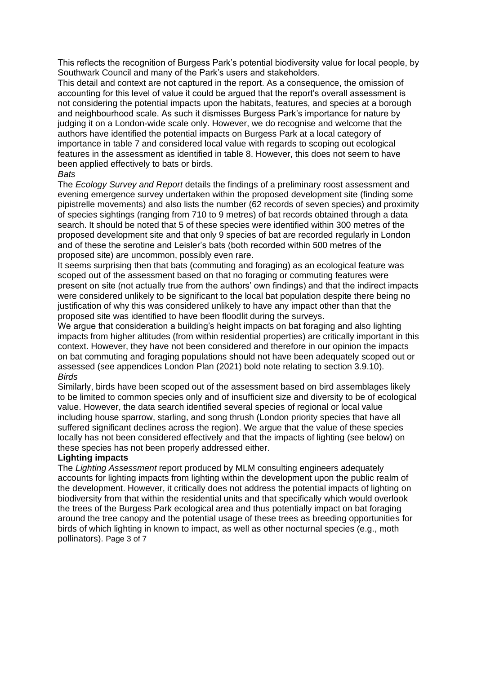This reflects the recognition of Burgess Park's potential biodiversity value for local people, by Southwark Council and many of the Park's users and stakeholders.

This detail and context are not captured in the report. As a consequence, the omission of accounting for this level of value it could be argued that the report's overall assessment is not considering the potential impacts upon the habitats, features, and species at a borough and neighbourhood scale. As such it dismisses Burgess Park's importance for nature by judging it on a London-wide scale only. However, we do recognise and welcome that the authors have identified the potential impacts on Burgess Park at a local category of importance in table 7 and considered local value with regards to scoping out ecological features in the assessment as identified in table 8. However, this does not seem to have been applied effectively to bats or birds.

#### *Bats*

The *Ecology Survey and Report* details the findings of a preliminary roost assessment and evening emergence survey undertaken within the proposed development site (finding some pipistrelle movements) and also lists the number (62 records of seven species) and proximity of species sightings (ranging from 710 to 9 metres) of bat records obtained through a data search. It should be noted that 5 of these species were identified within 300 metres of the proposed development site and that only 9 species of bat are recorded regularly in London and of these the serotine and Leisler's bats (both recorded within 500 metres of the proposed site) are uncommon, possibly even rare.

It seems surprising then that bats (commuting and foraging) as an ecological feature was scoped out of the assessment based on that no foraging or commuting features were present on site (not actually true from the authors' own findings) and that the indirect impacts were considered unlikely to be significant to the local bat population despite there being no justification of why this was considered unlikely to have any impact other than that the proposed site was identified to have been floodlit during the surveys.

We argue that consideration a building's height impacts on bat foraging and also lighting impacts from higher altitudes (from within residential properties) are critically important in this context. However, they have not been considered and therefore in our opinion the impacts on bat commuting and foraging populations should not have been adequately scoped out or assessed (see appendices London Plan (2021) bold note relating to section 3.9.10). *Birds* 

Similarly, birds have been scoped out of the assessment based on bird assemblages likely to be limited to common species only and of insufficient size and diversity to be of ecological value. However, the data search identified several species of regional or local value including house sparrow, starling, and song thrush (London priority species that have all suffered significant declines across the region). We argue that the value of these species locally has not been considered effectively and that the impacts of lighting (see below) on these species has not been properly addressed either.

#### **Lighting impacts**

The *Lighting Assessment* report produced by MLM consulting engineers adequately accounts for lighting impacts from lighting within the development upon the public realm of the development. However, it critically does not address the potential impacts of lighting on biodiversity from that within the residential units and that specifically which would overlook the trees of the Burgess Park ecological area and thus potentially impact on bat foraging around the tree canopy and the potential usage of these trees as breeding opportunities for birds of which lighting in known to impact, as well as other nocturnal species (e.g., moth pollinators). Page 3 of 7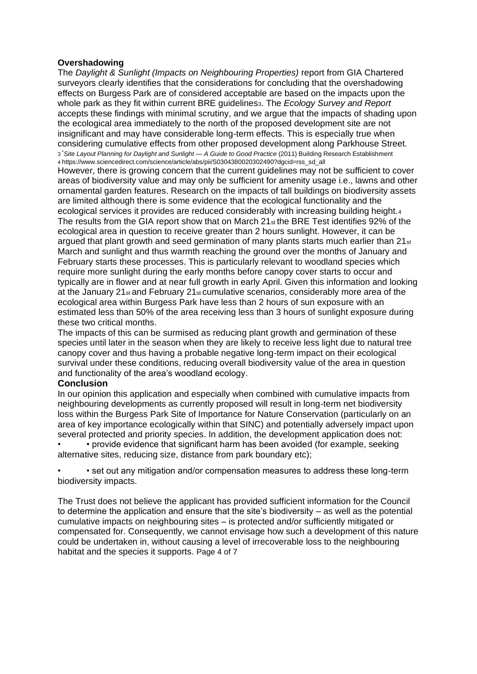#### **Overshadowing**

The *Daylight & Sunlight (Impacts on Neighbouring Properties)* report from GIA Chartered surveyors clearly identifies that the considerations for concluding that the overshadowing effects on Burgess Park are of considered acceptable are based on the impacts upon the whole park as they fit within current BRE guidelines3. The *Ecology Survey and Report*  accepts these findings with minimal scrutiny, and we argue that the impacts of shading upon the ecological area immediately to the north of the proposed development site are not insignificant and may have considerable long-term effects. This is especially true when considering cumulative effects from other proposed development along Parkhouse Street. <sup>3</sup>'*Site Layout Planning for Daylight and Sunlight — A Guide to Good Practice* (2011) Building Research Establishment 4 https://www.sciencedirect.com/science/article/abs/pii/S0304380020302490?dgcid=rss\_sd\_all

However, there is growing concern that the current guidelines may not be sufficient to cover areas of biodiversity value and may only be sufficient for amenity usage i.e., lawns and other ornamental garden features. Research on the impacts of tall buildings on biodiversity assets are limited although there is some evidence that the ecological functionality and the ecological services it provides are reduced considerably with increasing building height.<sup>4</sup> The results from the GIA report show that on March 21st the BRE Test identifies 92% of the ecological area in question to receive greater than 2 hours sunlight. However, it can be argued that plant growth and seed germination of many plants starts much earlier than  $21_{st}$ March and sunlight and thus warmth reaching the ground over the months of January and February starts these processes. This is particularly relevant to woodland species which require more sunlight during the early months before canopy cover starts to occur and typically are in flower and at near full growth in early April. Given this information and looking at the January 21 $_{st}$  and February 21 $_{st}$  cumulative scenarios, considerably more area of the ecological area within Burgess Park have less than 2 hours of sun exposure with an estimated less than 50% of the area receiving less than 3 hours of sunlight exposure during these two critical months.

The impacts of this can be surmised as reducing plant growth and germination of these species until later in the season when they are likely to receive less light due to natural tree canopy cover and thus having a probable negative long-term impact on their ecological survival under these conditions, reducing overall biodiversity value of the area in question and functionality of the area's woodland ecology.

#### **Conclusion**

In our opinion this application and especially when combined with cumulative impacts from neighbouring developments as currently proposed will result in long-term net biodiversity loss within the Burgess Park Site of Importance for Nature Conservation (particularly on an area of key importance ecologically within that SINC) and potentially adversely impact upon several protected and priority species. In addition, the development application does not:

• • provide evidence that significant harm has been avoided (for example, seeking alternative sites, reducing size, distance from park boundary etc);

• • set out any mitigation and/or compensation measures to address these long-term biodiversity impacts.

The Trust does not believe the applicant has provided sufficient information for the Council to determine the application and ensure that the site's biodiversity – as well as the potential cumulative impacts on neighbouring sites – is protected and/or sufficiently mitigated or compensated for. Consequently, we cannot envisage how such a development of this nature could be undertaken in, without causing a level of irrecoverable loss to the neighbouring habitat and the species it supports. Page 4 of 7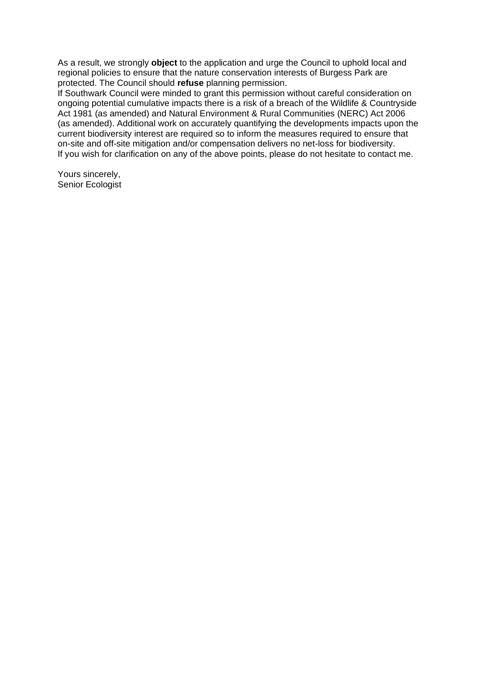As a result, we strongly **object** to the application and urge the Council to uphold local and regional policies to ensure that the nature conservation interests of Burgess Park are protected. The Council should **refuse** planning permission.

If Southwark Council were minded to grant this permission without careful consideration on ongoing potential cumulative impacts there is a risk of a breach of the Wildlife & Countryside Act 1981 (as amended) and Natural Environment & Rural Communities (NERC) Act 2006 (as amended). Additional work on accurately quantifying the developments impacts upon the current biodiversity interest are required so to inform the measures required to ensure that on-site and off-site mitigation and/or compensation delivers no net-loss for biodiversity. If you wish for clarification on any of the above points, please do not hesitate to contact me.

Yours sincerely, Senior Ecologist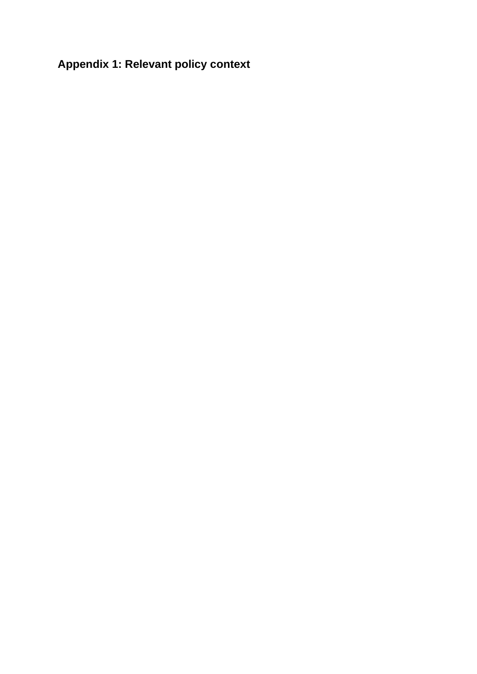# **Appendix 1: Relevant policy context**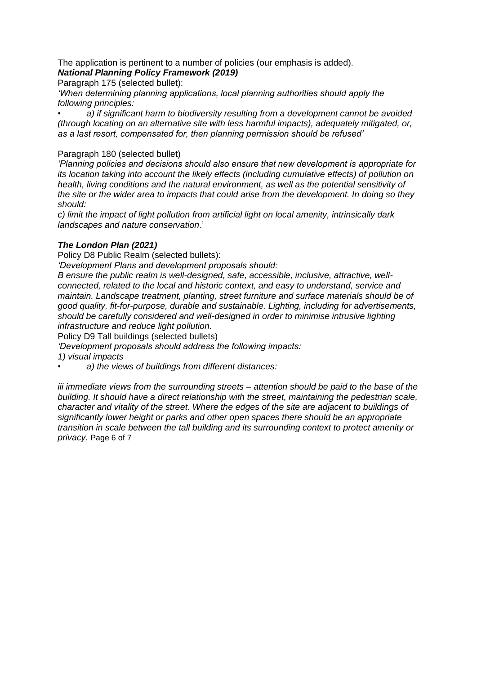The application is pertinent to a number of policies (our emphasis is added). *National Planning Policy Framework (2019)* 

Paragraph 175 (selected bullet):

*'When determining planning applications, local planning authorities should apply the following principles:* 

• *a) if significant harm to biodiversity resulting from a development cannot be avoided (through locating on an alternative site with less harmful impacts), adequately mitigated, or, as a last resort, compensated for, then planning permission should be refused'* 

#### Paragraph 180 (selected bullet)

*'Planning policies and decisions should also ensure that new development is appropriate for its location taking into account the likely effects (including cumulative effects) of pollution on health, living conditions and the natural environment, as well as the potential sensitivity of the site or the wider area to impacts that could arise from the development. In doing so they should:* 

*c) limit the impact of light pollution from artificial light on local amenity, intrinsically dark landscapes and nature conservation*.'

### *The London Plan (2021)*

Policy D8 Public Realm (selected bullets):

*'Development Plans and development proposals should:* 

*B ensure the public realm is well-designed, safe, accessible, inclusive, attractive, wellconnected, related to the local and historic context, and easy to understand, service and maintain. Landscape treatment, planting, street furniture and surface materials should be of good quality, fit-for-purpose, durable and sustainable. Lighting, including for advertisements, should be carefully considered and well-designed in order to minimise intrusive lighting infrastructure and reduce light pollution.* 

Policy D9 Tall buildings (selected bullets)

*'Development proposals should address the following impacts:* 

*1) visual impacts* 

• *a) the views of buildings from different distances:* 

*iii immediate views from the surrounding streets – attention should be paid to the base of the building. It should have a direct relationship with the street, maintaining the pedestrian scale, character and vitality of the street. Where the edges of the site are adjacent to buildings of significantly lower height or parks and other open spaces there should be an appropriate transition in scale between the tall building and its surrounding context to protect amenity or privacy.* Page 6 of 7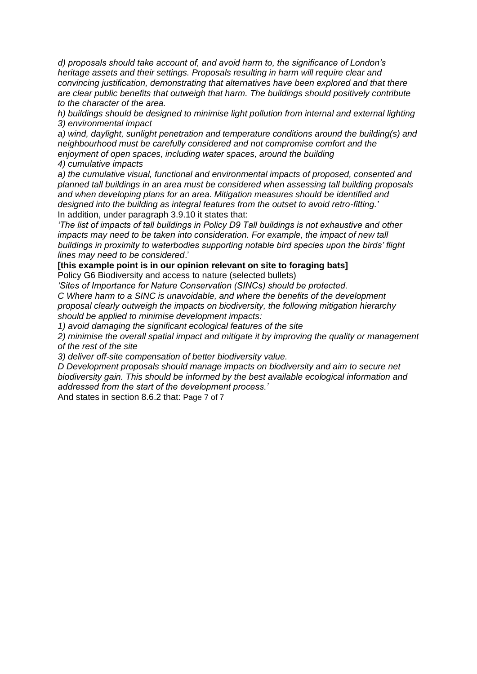*d) proposals should take account of, and avoid harm to, the significance of London's heritage assets and their settings. Proposals resulting in harm will require clear and convincing justification, demonstrating that alternatives have been explored and that there are clear public benefits that outweigh that harm. The buildings should positively contribute to the character of the area.* 

*h) buildings should be designed to minimise light pollution from internal and external lighting 3) environmental impact* 

*a) wind, daylight, sunlight penetration and temperature conditions around the building(s) and neighbourhood must be carefully considered and not compromise comfort and the enjoyment of open spaces, including water spaces, around the building 4) cumulative impacts* 

*a) the cumulative visual, functional and environmental impacts of proposed, consented and planned tall buildings in an area must be considered when assessing tall building proposals and when developing plans for an area. Mitigation measures should be identified and designed into the building as integral features from the outset to avoid retro-fitting.'*  In addition, under paragraph 3.9.10 it states that:

*'The list of impacts of tall buildings in Policy D9 Tall buildings is not exhaustive and other impacts may need to be taken into consideration. For example, the impact of new tall buildings in proximity to waterbodies supporting notable bird species upon the birds' flight lines may need to be considered*.'

#### **[this example point is in our opinion relevant on site to foraging bats]**

Policy G6 Biodiversity and access to nature (selected bullets)

*'Sites of Importance for Nature Conservation (SINCs) should be protected.* 

*C Where harm to a SINC is unavoidable, and where the benefits of the development proposal clearly outweigh the impacts on biodiversity, the following mitigation hierarchy should be applied to minimise development impacts:* 

*1) avoid damaging the significant ecological features of the site* 

*2) minimise the overall spatial impact and mitigate it by improving the quality or management of the rest of the site* 

*3) deliver off-site compensation of better biodiversity value.* 

*D Development proposals should manage impacts on biodiversity and aim to secure net biodiversity gain. This should be informed by the best available ecological information and addressed from the start of the development process.'* 

And states in section 8.6.2 that: Page 7 of 7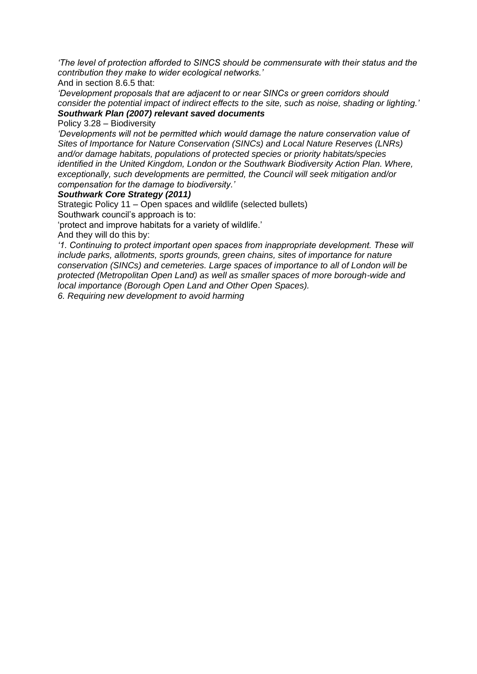*'The level of protection afforded to SINCS should be commensurate with their status and the contribution they make to wider ecological networks.'* 

And in section 8.6.5 that:

*'Development proposals that are adjacent to or near SINCs or green corridors should consider the potential impact of indirect effects to the site, such as noise, shading or lighting.' Southwark Plan (2007) relevant saved documents* 

Policy 3.28 – Biodiversity

*'Developments will not be permitted which would damage the nature conservation value of Sites of Importance for Nature Conservation (SINCs) and Local Nature Reserves (LNRs) and/or damage habitats, populations of protected species or priority habitats/species identified in the United Kingdom, London or the Southwark Biodiversity Action Plan. Where, exceptionally, such developments are permitted, the Council will seek mitigation and/or compensation for the damage to biodiversity.'* 

#### *Southwark Core Strategy (2011)*

Strategic Policy 11 – Open spaces and wildlife (selected bullets)

Southwark council's approach is to:

'protect and improve habitats for a variety of wildlife.'

And they will do this by:

*'1. Continuing to protect important open spaces from inappropriate development. These will include parks, allotments, sports grounds, green chains, sites of importance for nature conservation (SINCs) and cemeteries. Large spaces of importance to all of London will be protected (Metropolitan Open Land) as well as smaller spaces of more borough-wide and local importance (Borough Open Land and Other Open Spaces).* 

*6. Requiring new development to avoid harming*